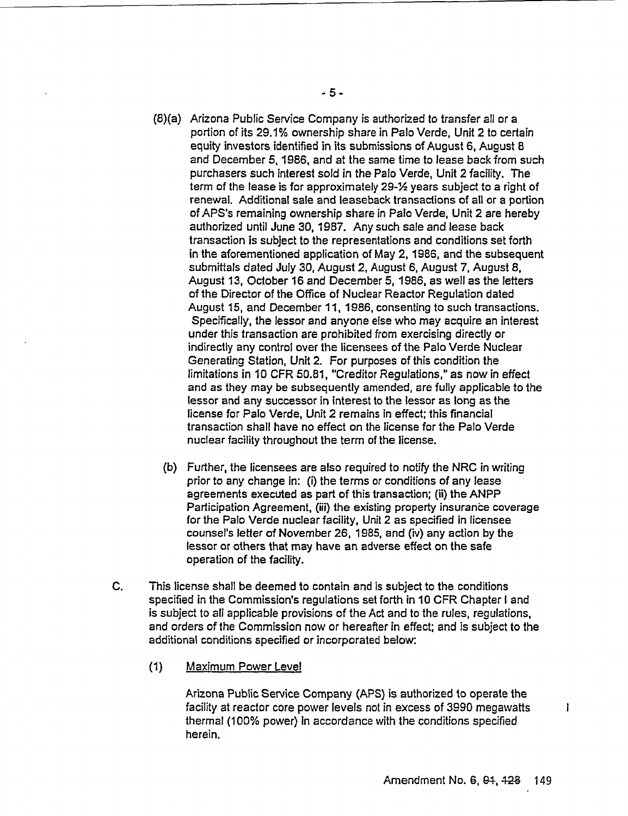- (8)(a) Arizona Public Service Company is authorized to transfer all or a portion of its 29.1% ownership share in Palo Verde, Unit 2 to certain equity investors identified in its submissions of August 6, August 8 and December 5, 1986, and at the same time to lease back from such purchasers such interest sold in the Palo Verde, Unit 2 facility. The term of the lease is for approximately 29-1/2 years subject to a right of renewal. Additional sale and leaseback transactions of all or a portion of APS's remaining ownership share in Palo Verde, Unit 2 are hereby authorized until June 30, 1987. Any such sale and lease back transaction is subject to the representations and conditions set forth in the aforementioned application of May 2, 1986, and the subsequent submittals dated July 30, August 2, August 6, August 7, August 8, August 13, October 16 and December 5, 1986, as well as the letters of the Director of the Office of Nuclear Reactor Regulation dated August 15, and December 11, 1986, consenting to such transactions. Specifically, the lessor and anyone else who may acquire an interest under this transaction are prohibited from exercising directly or indirectly any control over the licensees of the Palo Verde Nuclear Generating Station, Unit 2. For purposes of this condition the limitations in 10 CFR 50.81, "Creditor Regulations," as now in effect and as they may be subsequently amended, are fully applicable to the lessor and any successor in interest to the lessor as long as the license for Palo Verde, Unit 2 remains in effect; this financial transaction shall have no effect on the license for the Palo Verde nuclear facility throughout the term of the license.
	- (b) Further, the licensees are also required to notify the NRC in writing prior to any change in: (i) the terms or conditions of any lease agreements executed as part of this transaction; (ii) the ANPP Participation Agreement, (iii) the existing property insurance coverage for the Palo Verde nuclear facility, Unit 2 as specified in licensee counsel's letter of November 26, 1985, and (iv) any action by the lessor or others that may have an adverse effect on the safe operation of the facility.
- C. This license shall be deemed to contain and is subject to the conditions specified in the Commission's regulations set forth in 10 CFR Chapter I and is subject to all applicable provisions of the Act and to the rules, regulations, and orders of the Commission now or hereafter in effect; and is subject to the additional conditions specified or incorporated below:
	- (1) Maximum Power Level

Arizona Public Service Company (APS) is authorized to operate the facility at reactor core power levels not in excess of 3990 megawatts thermal (100% power) in accordance with the conditions specified herein.

 $\mathbf{I}$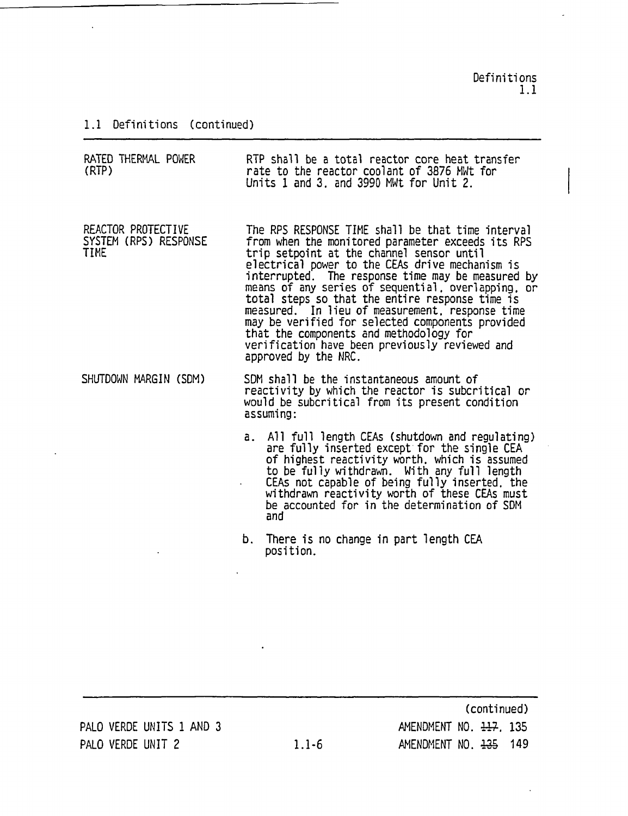Definitions 1.1

 $\overline{\phantom{a}}$ 

## 1.1 Definitions (continued)

| RATED THERMAL POWER<br>(RTP)                               |    | RTP shall be a total reactor core heat transfer<br>rate to the reactor coolant of 3876 MWt for<br>Units 1 and 3, and 3990 MWt for Unit 2.                                                                                                                                                                                                                                                                                                                                                                                                                                                        |
|------------------------------------------------------------|----|--------------------------------------------------------------------------------------------------------------------------------------------------------------------------------------------------------------------------------------------------------------------------------------------------------------------------------------------------------------------------------------------------------------------------------------------------------------------------------------------------------------------------------------------------------------------------------------------------|
| REACTOR PROTECTIVE<br>SYSTEM (RPS) RESPONSE<br><b>TIME</b> |    | The RPS RESPONSE TIME shall be that time interval<br>from when the monitored parameter exceeds its RPS<br>trip setpoint at the channel sensor until<br>electrical power to the CEAs drive mechanism is<br>interrupted. The response time may be measured by<br>means of any series of sequential, overlapping, or<br>total steps so that the entire response time is<br>measured. In lieu of measurement, response time<br>may be verified for selected components provided<br>that the components and methodology for<br>verification have been previously reviewed and<br>approved by the NRC. |
| SHUTDOWN MARGIN (SDM)                                      |    | SDM shall be the instantaneous amount of<br>reactivity by which the reactor is subcritical or<br>would be subcritical from its present condition<br>assuming:                                                                                                                                                                                                                                                                                                                                                                                                                                    |
|                                                            | а. | All full length CEAs (shutdown and regulating)<br>are fully inserted except for the single CEA<br>of highest reactivity worth, which is assumed<br>to be fully withdrawn. With any full length<br>CEAs not capable of being fully inserted, the<br>withdrawn reactivity worth of these CEAs must<br>be accounted for in the determination of SDM<br>and                                                                                                                                                                                                                                          |
|                                                            | b. | There is no change in part length CEA<br>position.                                                                                                                                                                                                                                                                                                                                                                                                                                                                                                                                               |

PALO VERDE UNITS 1 AND 3 PALO VERDE UNIT 2

(continued) AMENDMENT NO. 117, 135 1.1-6 AMENDMENT NO. 435 149

 $\ddot{\phantom{a}}$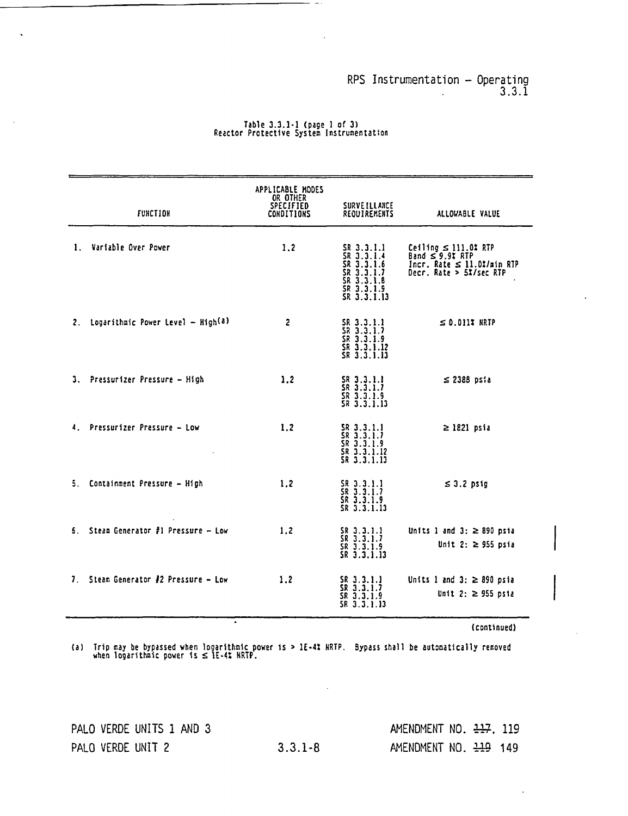#### RPS Instrumentation - Operating 3.3.1

| <b>FUNCTION</b>                      | APPLICABLE MODES<br>OR OTHER<br>SPECIFIED<br><b>CONDITIONS</b> | <b>SURVE ILLANCE</b><br>REQUIREMENTS                                                            | ALLOWABLE VALUE                                                                                                 |
|--------------------------------------|----------------------------------------------------------------|-------------------------------------------------------------------------------------------------|-----------------------------------------------------------------------------------------------------------------|
| 1. Variable Over Power               | 1.2                                                            | SR 3.3.1.1<br>SR 3.3.1.4<br>SR 3.3.1.6<br>SR 3.3.1.7<br>SR 3.3.1.8<br>SR 3.3.1.9<br>SR 3.3.1.13 | Ceiling $\leq$ 111.0% RTP<br>Band $\leq$ 9.9% RTP<br>Incr. Rate $\leq$ 11.0%/min RTP<br>Decr. Rate > 5%/sec RTP |
| 2. Logarithmic Power Level - High(a) | $\overline{2}$                                                 | SR 3.3.1.1<br>SR 3.3.1.7<br>SR 3.3.1.9<br>SR 3.3.1.12<br>SR 3.3.1.13                            | $\leq 0.011$ WRTP                                                                                               |
| 3. Pressurizer Pressure - High       | 1.2                                                            | SR 3.3.1.1<br>SR 3.3.1.7<br>SR 3.3.1.9<br>SR 3.3.1.13                                           | $\leq$ 2388 psia                                                                                                |
| 4. Pressurizer Pressure - Low        | 1.2                                                            | SR 3.3.1.1<br>SR 3.3.1.7<br>SR 3.3.1.9<br>SR 3.3.1.12<br>SR 3.3.1.13                            | $\geq$ 1821 psia                                                                                                |
| 5. Containment Pressure - High       | 1.2                                                            | $SR$ 3.3.1.1<br>SR 3.3.1.7<br>$SR$ 3.3.1.9<br>SR 3.3.1.13                                       | $\leq$ 3.2 psig                                                                                                 |
| 5. Steam Generator #1 Pressure - Low | 1.2                                                            | SR 3.3.1.1<br>SR 3.3.1.7<br>SR 3.3.1.9<br>SR 3.3.1.13                                           | Units 1 and 3: $\geq$ 890 psia<br>Unit 2: $\ge$ 955 psia                                                        |
| 7. Steam Generator #2 Pressure - Low | 1.2                                                            | $SR$ 3.3.1.1<br>SR 3.3.1.7<br>SR 3.3.1.9<br>SR 3.3.1.13                                         | Units 1 and 3: $\geq$ 890 psia<br>Unit 2: $\ge$ 955 psia                                                        |

# Table 3.3.1-1 (page 1 of 3) Reactor Protective System Instrumentation

(continued)

(a) Trip may be bypassed when logarithmic power is > IE-4S NRTP. Bypass shall irip may be bypassed when logarithmic power is > 1E-4% HRTP. Bypass shall be automatically removed<br>when logarithmic power is ≤ 1E-4% HRTP.

٠.

PALO VERDE UNITS 1 AND 3 PALO VERDE UNIT 2

 $\ddot{\phantom{0}}$ 

AMENDMENT NO. 227, 119 3.3.1-8 AMENDMENT NO. 229 149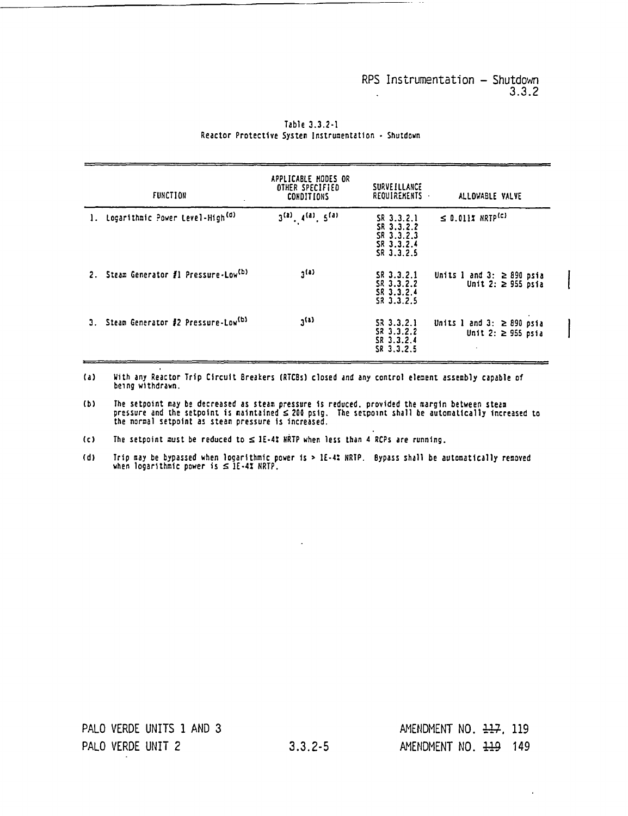I

I

|    | <b>FUNCTION</b>                                   | APPLICABLE MODES OR<br>OTHER SPECIFIED<br><b>CONDITIONS</b> | SURVEILLANCE<br>REQUIREMENTS                                       | ALLOWABLE VALVE                                                     |
|----|---------------------------------------------------|-------------------------------------------------------------|--------------------------------------------------------------------|---------------------------------------------------------------------|
| 1. | Logarithmic Power Level-High <sup>(d)</sup>       | $3^{(a)}$ , $4^{(a)}$ , $5^{(a)}$                           | SR 3.3.2.1<br>SR 3.3.2.2<br>SR 3.3.2.3<br>SR 3.3.2.4<br>SR 3.3.2.5 | $\leq$ 0.011% NRTP <sup>(c)</sup>                                   |
|    | 2. Steam Generator #1 Pressure-Low <sup>(b)</sup> | $2^{(4)}$                                                   | SR <sub>3.3.2.1</sub><br>SR 3.3.2.2<br>SR 3.3.2.4<br>SR 3.3.2.5    | Units 1 and 3: $\geq$ 890 psia<br>Unit 2: $\ge$ 955 psia            |
|    | 3. Steam Generator #2 Pressure-Low <sup>(b)</sup> | $2^{(8)}$                                                   | 53 3.3.2.1<br>SR 3.3.2.2<br>SR 3.3.2.4<br>SR 3.3.2.5               | Units 1 and 3: $\geq$ 890 psia<br>Unit 2: $\ge$ 955 psia<br>$\cdot$ |

Table 3.3.2-1 Reactor Protective System Instrumentation - Shutdown

(a) With any Reactor Trip Circuit Breakers (RTCBs) closed and any control element assembly capable of being withdrawn.

(b) — The setpoint may be decreased as steam pressure is reduced. provided the margin between steam pressure and the setpoint is maintained  $\leq$  200 psig. The setpoint shall be automatically increased to the normal setpoint as steam pressure is increased.

(c) The setpoint must be reduced to  $\leq$  IE-4I NRTP when less than 4 RCPs are running.

(d) I rip may be bypassed when logarithmic power is > 1E-4: NRTP. Bypass shall be automatically removed when logarithmic power is  $\leq$  1E-4X NRTP.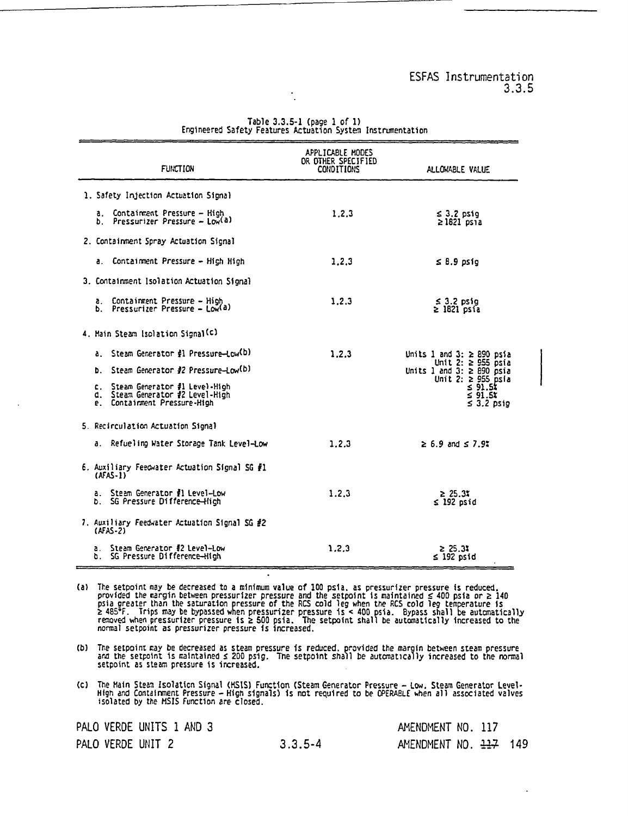| <b>FUNCTION</b>                                                                                      | APPLICABLE MODES<br>OR OTHER SPECIFIED<br><b>CONDITIONS</b> | ALLOWABLE VALUE                                                                   |
|------------------------------------------------------------------------------------------------------|-------------------------------------------------------------|-----------------------------------------------------------------------------------|
| 1. Safety Injection Actuation Signal                                                                 |                                                             |                                                                                   |
| a. Containment Pressure - High<br>b. Pressurizer Pressure - Low(a)                                   | 1.2.3                                                       | $\leq$ 3.2 psig<br>$\geq$ 1821 psia                                               |
| 2. Containment Spray Actuation Signal                                                                |                                                             |                                                                                   |
| a. Containment Pressure - High High                                                                  | 1.2.3                                                       | $\leq 8.9$ psig                                                                   |
| 3. Containment Isolation Actuation Signal                                                            |                                                             |                                                                                   |
| a. Containment Pressure - High<br>b. Pressurizer Pressure - Low(a)                                   | 1.2.3                                                       | $\leq$ 3.2 psig<br>$\geq$ 1821 psia                                               |
| 4. Main Steam Isolation Signal <sup>(c)</sup>                                                        |                                                             |                                                                                   |
| a. Steam Generator #1 Pressure-Low(b)                                                                | 1.2.3                                                       | Units 1 and 3: $\geq$ 890 psia                                                    |
| b. Steam Generator #2 Pressure-Low(b)                                                                |                                                             | Unit 2: $\ge$ 955 psia<br>Units 1 and 3: $\ge$ 890 psia<br>Unit 2: $\ge$ 955 psia |
| c. Steam Generator #1 Level-High<br>d. Steam Generator #2 Level-High<br>e. Containment Pressure-High |                                                             | 591.55<br>$\leq 91.5$<br>$\leq 3.2$ psig                                          |
| 5. Recirculation Actuation Signal                                                                    |                                                             |                                                                                   |
| a. Refueling Water Storage Tank Level-Low                                                            | 1.2.3                                                       | $\geq 6.9$ and $\leq 7.9$ .                                                       |
| 6. Auxiliary Feedwater Actuation Signal SG #1<br>$(AFAS-1)$                                          |                                                             |                                                                                   |
| a. Steam Generator #1 Level-Low<br>b. SG Pressure Difference-High                                    | 1.2.3                                                       | $\geq 25.3x$<br>$\leq$ 192 psid                                                   |
| 7. Auxiliary Feedwater Actuation Signal SG #2<br>$(ATS-2)$                                           |                                                             |                                                                                   |
| Steam Generator ∄2 Level—Low<br>b. SG Pressure Difference-High                                       | 1.2.3                                                       | 2 25.3%<br>$\leq$ 192 psid                                                        |

Table 3.3.5-1 (page 1 of 1) Engineered Safety Features Actuation System Instrumentation

(a) The setpoint may be decreased to a minimum value of **100** psia. as pressurizer pressure is reduced. provided the margin between pressurizer pressure and the setpoint is maintained 400 psia or 2 <sup>140</sup> psia greater than the saturation pressure of the RCS cold leg when the RCS cold leg temperature is<br>≥ 485°F. Trips may be bypassed when pressurizer pressure is < 400 psia. Bypass shall be automatically<br>removed when pressur

 $\ddot{\phantom{a}}$ 

(b) The setpoint ray be decreased as steam pressure is reduced. provided the margin between steam pressure ard the setpoint is aintained 200 psig. The setpoint shall be automatica ly increased to the normal setpoint as steam pressure is increased.

(c) The Main Steam Isolation Signal (MSIS) Function (Steam Generator Pressure - Low, Steam Generator Level)<br>High and Containment Pressure - High signals) is not required to be OPERABLE when all associated valves<br>isolated b

 $3.3.5 - 4$ 

|  | PALO VERDE UNITS 1 AND 3 |
|--|--------------------------|
|  | PALO VERDE UNIT 2        |

| AMENDMENT NO. 117                 |  |  |
|-----------------------------------|--|--|
| AMENDMENT NO. $\frac{117}{2}$ 149 |  |  |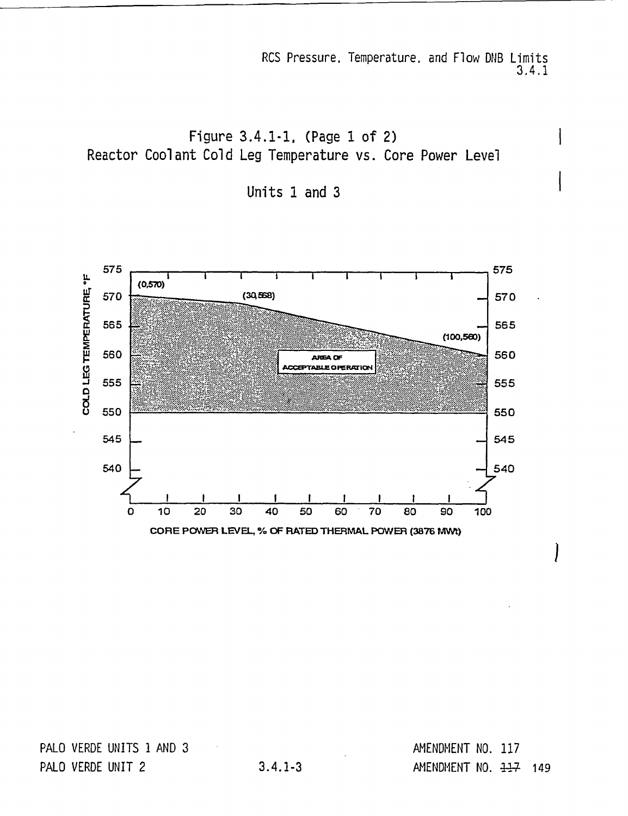RCS Pressure. Temperature. and Flow DNB Limits 3.4.1

I

1

Figure 3.4.1-1, (Page 1 of 2) Reactor Coolant Cold Leg Temperature vs. Core Power Level

Units 1 and 3



PALO VERDE UNITS 1 AND 3 PALO VERDE UNIT 2

AMENDMENT NO. 117 3.4.1-3 AMENDMENT NO. **41-7** 149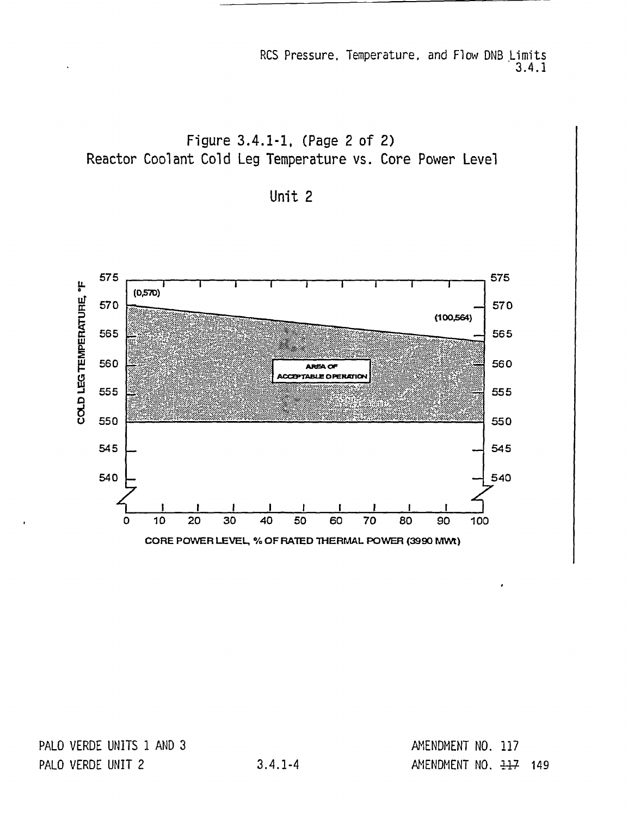RCS Pressure, Temperature, and Flow DNB Limits 3.4.1

Figure 3.4.1-1, (Page 2 of 2) Reactor Coolant Cold Leg Temperature vs. Core Power Level

Unit 2



PALO VERDE UNITS 1 AND 3 PALO VERDE UNIT 2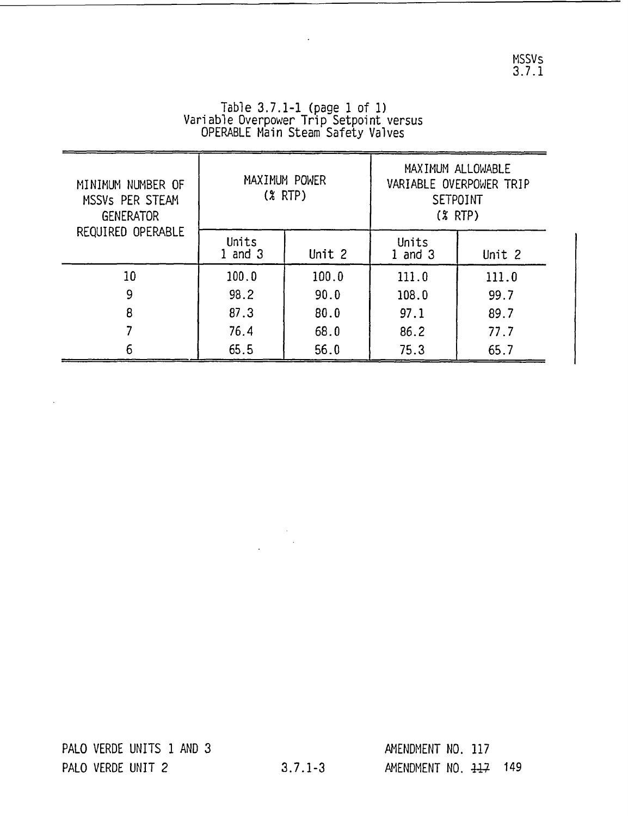|                                         | Table $3.7.1 - 1$ (page $1$ of $1$ ) |  |  |
|-----------------------------------------|--------------------------------------|--|--|
| Variable Overpower Trip Setpoint versus |                                      |  |  |
| OPERABLE Main Steam Safety Valves       |                                      |  |  |

 $\mathbb{Z}^2$ 

| MINIMUM NUMBER OF<br>MSSVs PER STEAM<br><b>GENERATOR</b><br>REQUIRED OPERABLE |                    | MAXIMUM POWER<br>$(X$ RTP) | MAXIMUM ALLOWABLE<br>VARIABLE OVERPOWER TRIP<br><b>SETPOINT</b><br>$(* RTP)$ |        |  |
|-------------------------------------------------------------------------------|--------------------|----------------------------|------------------------------------------------------------------------------|--------|--|
|                                                                               | Units<br>1 and $3$ | Unit 2                     | Units<br>$1$ and $3$                                                         | Unit 2 |  |
| 10                                                                            | 100.0              | 100.0                      | 111.0                                                                        | 111.0  |  |
| 9                                                                             | 98.2               | 90.0                       | 108.0                                                                        | 99.7   |  |
| 8                                                                             | 87.3               | 80.0                       | 97.1                                                                         | 89.7   |  |
|                                                                               | 76.4               | 68.0                       | 86.2                                                                         | 77.7   |  |
| 6                                                                             | 65.5               | 56.0                       | 75.3                                                                         | 65.7   |  |

 $\bar{z}$ 

 $\ddot{\phantom{a}}$